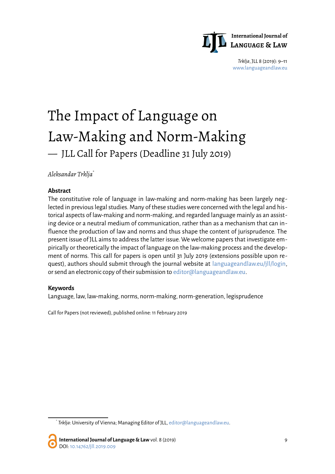

*Trklja*, JLL 8 (2019): 9–11 [www.languageandlaw.eu](http://www.languageandlaw.eu/)

# The Impact of Language on Law-Making and Norm-Making — JLL Call for Papers (Deadline 31 July 2019)

*Aleksandar Trklja*[\\*](#page-0-0)

#### **Abstract**

The constitutive role of language in law-making and norm-making has been largely neglected in previous legal studies. Many of these studies were concerned with the legal and historical aspects of law-making and norm-making, and regarded language mainly as an assisting device or a neutral medium of communication, rather than as a mechanism that can influence the production of law and norms and thus shape the content of jurisprudence. The present issue of JLL aims to address the latter issue. We welcome papers that investigate empirically or theoretically the impact of language on the law-making process and the development of norms. This call for papers is open until 31 July 2019 (extensions possible upon request), authors should submit through the journal website at [languageandlaw.eu/jll/login,](https://www.languageandlaw.eu/jll/login) or send an electronic copy of their submission to [editor@languageandlaw.eu.](mailto:editor@languageandlaw.eu)

#### **Keywords**

Language, law, law-making, norms, norm-making, norm-generation, legisprudence

Call for Papers (not reviewed), published online: 11 February 2019

**International Journal of Language & Law** vol. 8 (2019) 9 DOI[: 10.14762/jll.2019.009](http://dx.doi.org/10.14762/jll.2019.009)

<span id="page-0-0"></span><sup>\*</sup> *Trklja*: University of Vienna; Managing Editor of JLL, [editor@languageandlaw.eu.](mailto:editor@languageandlaw.eu)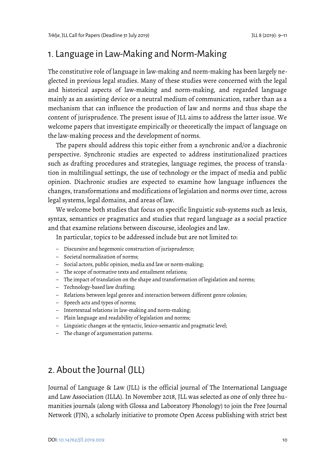### 1. Language in Law-Making and Norm-Making

The constitutive role of language in law-making and norm-making has been largely neglected in previous legal studies. Many of these studies were concerned with the legal and historical aspects of law-making and norm-making, and regarded language mainly as an assisting device or a neutral medium of communication, rather than as a mechanism that can influence the production of law and norms and thus shape the content of jurisprudence. The present issue of JLL aims to address the latter issue. We welcome papers that investigate empirically or theoretically the impact of language on the law-making process and the development of norms.

The papers should address this topic either from a synchronic and/or a diachronic perspective. Synchronic studies are expected to address institutionalized practices such as drafting procedures and strategies, language regimes, the process of translation in multilingual settings, the use of technology or the impact of media and public opinion. Diachronic studies are expected to examine how language influences the changes, transformations and modifications of legislation and norms over time, across legal systems, legal domains, and areas of law.

We welcome both studies that focus on specific linguistic sub-systems such as lexis, syntax, semantics or pragmatics and studies that regard language as a social practice and that examine relations between discourse, ideologies and law.

In particular, topics to be addressed include but are not limited to:

- Discursive and hegemonic construction of jurisprudence;
- Societal normalization of norms;
- Social actors, public opinion, media and law or norm-making;
- The scope of normative texts and entailment relations;
- The impact of translation on the shape and transformation of legislation and norms;
- Technology-based law drafting;
- Relations between legal genres and interaction between different genre colonies;
- Speech acts and types of norms;
- Intertextual relations in law-making and norm-making;
- Plain language and readability of legislation and norms;
- Linguistic changes at the syntactic, lexico-semantic and pragmatic level;
- The change of argumentation patterns.

## 2. About the Journal (JLL)

Journal of Language & Law (JLL) is the official journal of The International Language and Law Association (ILLA). In November 2018, JLL was selected as one of only three humanities journals (along with Glossa and Laboratory Phonology) to join the Free Journal Network (FJN), a scholarly initiative to promote Open Access publishing with strict best